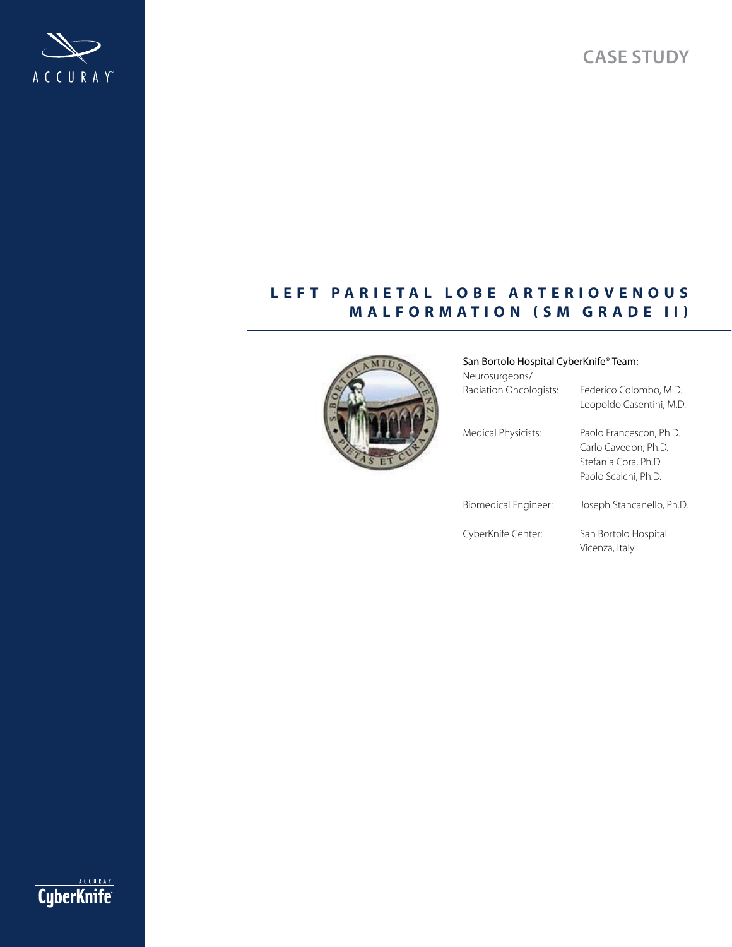**Case study**



# LEFT PARIETAL LOBE ARTERIOVENOUS **MALFORMATION (SM GRADE II)**



| San Bortolo Hospital CyberKnife® Team: |                                                                                                 |
|----------------------------------------|-------------------------------------------------------------------------------------------------|
| Neurosurgeons/                         |                                                                                                 |
| Radiation Oncologists:                 | Federico Colombo, M.D.<br>Leopoldo Casentini, M.D.                                              |
| Medical Physicists:                    | Paolo Francescon, Ph.D.<br>Carlo Cavedon, Ph.D.<br>Stefania Cora, Ph.D.<br>Paolo Scalchi, Ph.D. |
| Biomedical Engineer:                   | Joseph Stancanello, Ph.D.                                                                       |
| CyberKnife Center:                     | San Bortolo Hospital                                                                            |

Vicenza, Italy

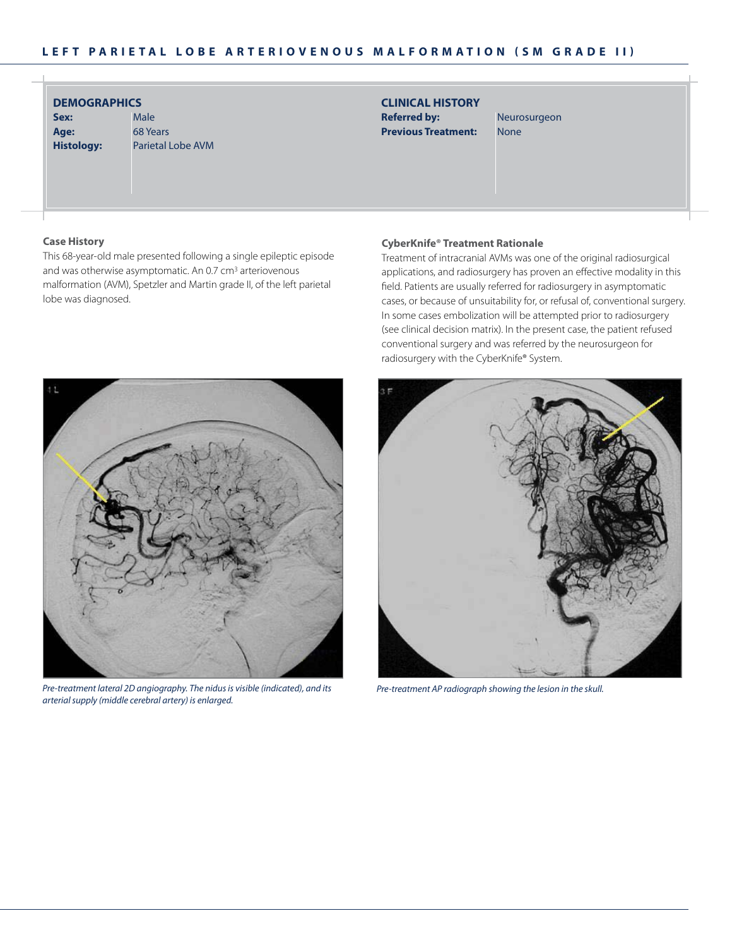| <b>DEMOGRAPHICS</b> |                   |
|---------------------|-------------------|
| Sex:                | Male              |
| Age:                | 68 Years          |
| Histology:          | <b>Parietal L</b> |

obe AVM

## **CliniCal HistorY Referred by:** Neurosurgeon **Previous Treatment:** None

### **Case History**

This 68-year-old male presented following a single epileptic episode and was otherwise asymptomatic. An 0.7 cm<sup>3</sup> arteriovenous malformation (AVM), Spetzler and Martin grade II, of the left parietal lobe was diagnosed.

## **CyberKnife® Treatment Rationale**

Treatment of intracranial AVMs was one of the original radiosurgical applications, and radiosurgery has proven an effective modality in this field. Patients are usually referred for radiosurgery in asymptomatic cases, or because of unsuitability for, or refusal of, conventional surgery. In some cases embolization will be attempted prior to radiosurgery (see clinical decision matrix). In the present case, the patient refused conventional surgery and was referred by the neurosurgeon for radiosurgery with the CyberKnife® System.



*Pre-treatment lateral 2D angiography. The nidus is visible (indicated), and its arterial supply (middle cerebral artery) is enlarged.*



*Pre-treatment AP radiograph showing the lesion in the skull.*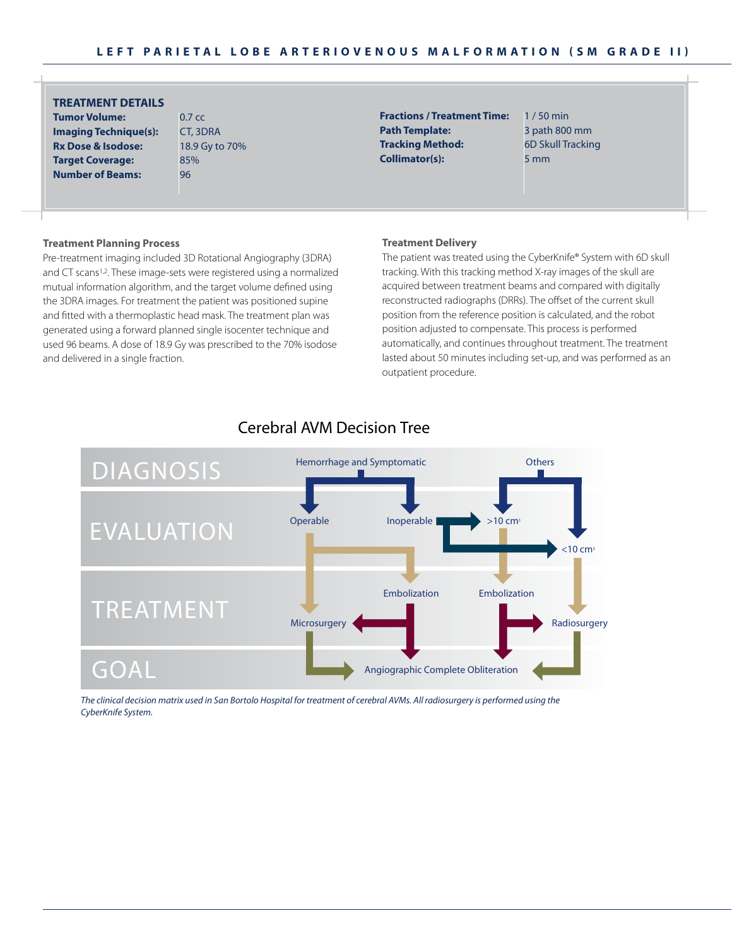## **treatment details**

**tumor volume:** 0.7 cc **imaging Technique(s): CT, 3DRA Rx Dose & Isodose:** 18.9 Gy to 70% **Target Coverage:** 85% **Number of Beams:** 96

**Fractions / Treatment Time:** 1/50 min **Path Template:** 3 path 800 mm **tracking method:** 6D Skull Tracking **Collimator(s):** 5 mm

### **treatment planning process**

Pre-treatment imaging included 3D Rotational Angiography (3DRA) and CT scans<sup>1,2</sup>. These image-sets were registered using a normalized mutual information algorithm, and the target volume defined using the 3DRA images. For treatment the patient was positioned supine and fitted with a thermoplastic head mask. The treatment plan was generated using a forward planned single isocenter technique and used 96 beams. A dose of 18.9 Gy was prescribed to the 70% isodose and delivered in a single fraction.

#### **Treatment Delivery**

The patient was treated using the CyberKnife® System with 6D skull tracking. With this tracking method X-ray images of the skull are acquired between treatment beams and compared with digitally reconstructed radiographs (DRRs). The offset of the current skull position from the reference position is calculated, and the robot position adjusted to compensate. This process is performed automatically, and continues throughout treatment. The treatment lasted about 50 minutes including set-up, and was performed as an outpatient procedure.



## Cerebral AVM Decision Tree

*The clinical decision matrix used in San Bortolo Hospital for treatment of cerebral AVMs. All radiosurgery is performed using the CyberKnife System.*